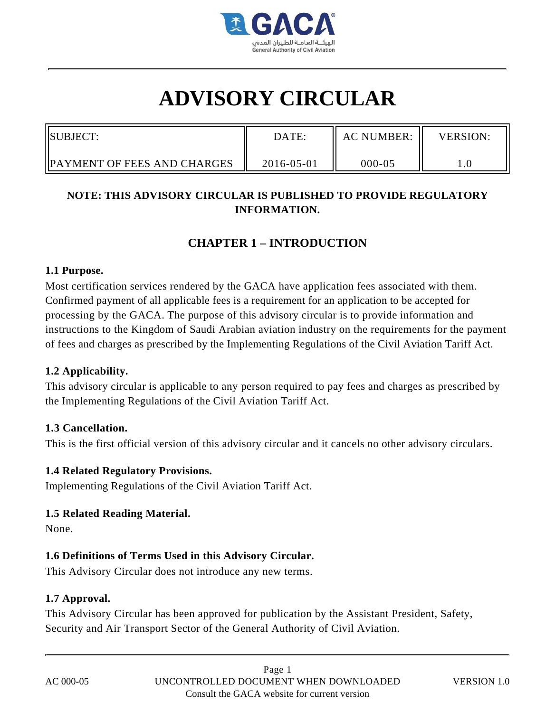

# **ADVISORY CIRCULAR**

| <b>ISUBJECT:</b>                    | DATE:      | <b>AC NUMBER:</b> | <b>VERSION:</b> |
|-------------------------------------|------------|-------------------|-----------------|
| <b>IPAYMENT OF FEES AND CHARGES</b> | 2016-05-01 | $000 - 05$        |                 |

# **NOTE: THIS ADVISORY CIRCULAR IS PUBLISHED TO PROVIDE REGULATORY INFORMATION.**

# **CHAPTER 1 – INTRODUCTION**

#### **1.1 Purpose.**

Most certification services rendered by the GACA have application fees associated with them. Confirmed payment of all applicable fees is a requirement for an application to be accepted for processing by the GACA. The purpose of this advisory circular is to provide information and instructions to the Kingdom of Saudi Arabian aviation industry on the requirements for the payment of fees and charges as prescribed by the Implementing Regulations of the Civil Aviation Tariff Act.

# **1.2 Applicability.**

This advisory circular is applicable to any person required to pay fees and charges as prescribed by the Implementing Regulations of the Civil Aviation Tariff Act.

# **1.3 Cancellation.**

This is the first official version of this advisory circular and it cancels no other advisory circulars.

# **1.4 Related Regulatory Provisions.**

Implementing Regulations of the Civil Aviation Tariff Act.

# **1.5 Related Reading Material.**

None.

# **1.6 Definitions of Terms Used in this Advisory Circular.**

This Advisory Circular does not introduce any new terms.

# **1.7 Approval.**

This Advisory Circular has been approved for publication by the Assistant President, Safety, Security and Air Transport Sector of the General Authority of Civil Aviation.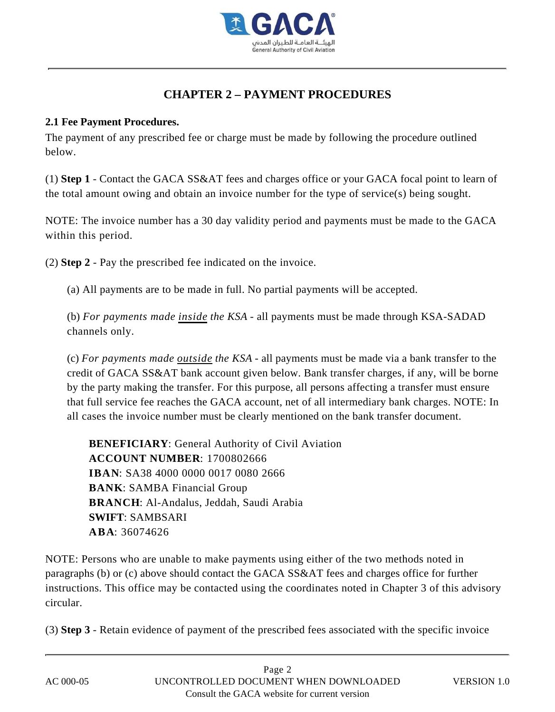

# **CHAPTER 2 – PAYMENT PROCEDURES**

# **2.1 Fee Payment Procedures.**

The payment of any prescribed fee or charge must be made by following the procedure outlined below.

(1) **Step 1** - Contact the GACA SS&AT fees and charges office or your GACA focal point to learn of the total amount owing and obtain an invoice number for the type of service(s) being sought.

NOTE: The invoice number has a 30 day validity period and payments must be made to the GACA within this period.

(2) **Step 2** - Pay the prescribed fee indicated on the invoice.

(a) All payments are to be made in full. No partial payments will be accepted.

(b) *For payments made inside the KSA* - all payments must be made through KSA-SADAD channels only.

(c) *For payments made outside the KSA* - all payments must be made via a bank transfer to the credit of GACA SS&AT bank account given below. Bank transfer charges, if any, will be borne by the party making the transfer. For this purpose, all persons affecting a transfer must ensure that full service fee reaches the GACA account, net of all intermediary bank charges. NOTE: In all cases the invoice number must be clearly mentioned on the bank transfer document.

**BENEFICIARY**: General Authority of Civil Aviation **ACCOUNT NUMBER**: 1700802666 **IBAN**: SA38 4000 0000 0017 0080 2666 **BANK**: SAMBA Financial Group **BRANCH**: Al-Andalus, Jeddah, Saudi Arabia **SWIFT**: SAMBSARI **ABA**: 36074626

NOTE: Persons who are unable to make payments using either of the two methods noted in paragraphs (b) or (c) above should contact the GACA SS&AT fees and charges office for further instructions. This office may be contacted using the coordinates noted in Chapter 3 of this advisory circular.

(3) **Step 3** - Retain evidence of payment of the prescribed fees associated with the specific invoice

| AC 000-05 |
|-----------|
|           |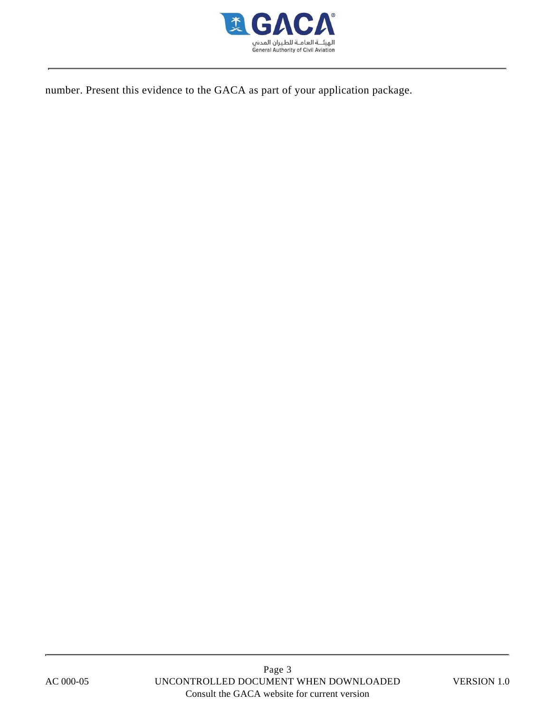

number. Present this evidence to the GACA as part of your application package.